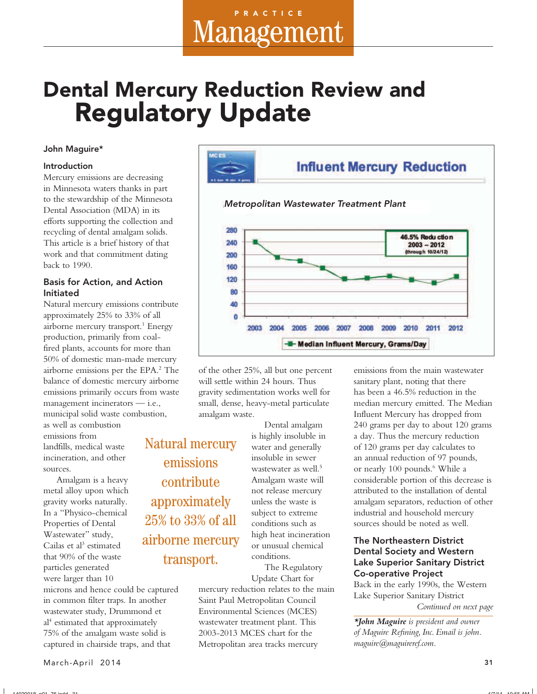## Dental Mercury Reduction Review and Regulatory Update

#### John Maguire\*

#### Introduction

Mercury emissions are decreasing in Minnesota waters thanks in part to the stewardship of the Minnesota Dental Association (MDA) in its efforts supporting the collection and recycling of dental amalgam solids. This article is a brief history of that work and that commitment dating back to 1990.

#### Basis for Action, and Action Initiated

Natural mercury emissions contribute approximately 25% to 33% of all airborne mercury transport.<sup>1</sup> Energy production, primarily from coalfired plants, accounts for more than 50% of domestic man-made mercury airborne emissions per the EPA.2 The balance of domestic mercury airborne emissions primarily occurs from waste management incinerators — i.e., municipal solid waste combustion,

as well as combustion emissions from landfills, medical waste incineration, and other sources.

Amalgam is a heavy metal alloy upon which gravity works naturally. In a "Physico-chemical Properties of Dental Wastewater" study, Cailas et al<sup>3</sup> estimated that 90% of the waste particles generated were larger than 10

microns and hence could be captured in common filter traps. In another wastewater study, Drummond et al<sup>4</sup> estimated that approximately 75% of the amalgam waste solid is captured in chairside traps, and that



of the other 25%, all but one percent will settle within 24 hours. Thus gravity sedimentation works well for small, dense, heavy-metal particulate amalgam waste.

Natural mercury emissions contribute approximately 25% to 33% of all airborne mercury transport.

Dental amalgam is highly insoluble in water and generally insoluble in sewer wastewater as well.<sup>5</sup> Amalgam waste will not release mercury unless the waste is subject to extreme conditions such as high heat incineration or unusual chemical conditions.

The Regulatory Update Chart for

mercury reduction relates to the main Saint Paul Metropolitan Council Environmental Sciences (MCES) wastewater treatment plant. This 2003-2013 MCES chart for the Metropolitan area tracks mercury

emissions from the main wastewater sanitary plant, noting that there has been a 46.5% reduction in the median mercury emitted. The Median Influent Mercury has dropped from 240 grams per day to about 120 grams a day. Thus the mercury reduction of 120 grams per day calculates to an annual reduction of 97 pounds, or nearly 100 pounds.<sup>6</sup> While a considerable portion of this decrease is attributed to the installation of dental amalgam separators, reduction of other industrial and household mercury sources should be noted as well.

#### The Northeastern District Dental Society and Western Lake Superior Sanitary District Co-operative Project

Back in the early 1990s, the Western Lake Superior Sanitary District *Continued on next page*

*\*John Maguire is president and owner of Maguire Refi ning, Inc. Email is john. maguire@maguireref.com.*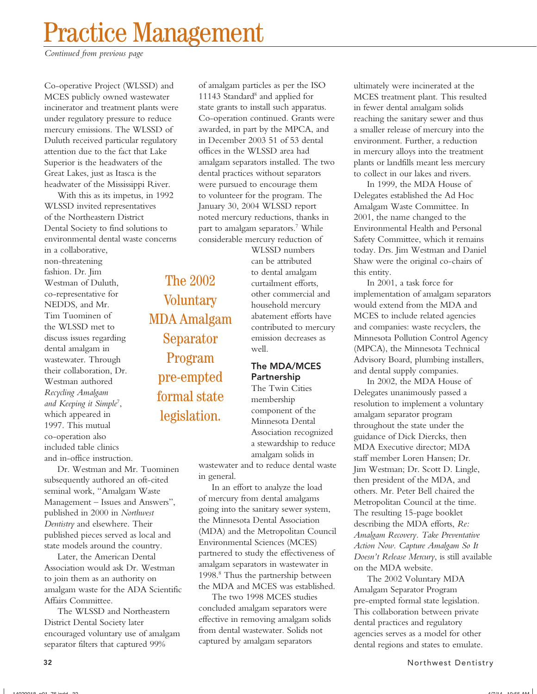# Practice Management

*Continued from previous page*

Co-operative Project (WLSSD) and MCES publicly owned wastewater incinerator and treatment plants were under regulatory pressure to reduce mercury emissions. The WLSSD of Duluth received particular regulatory attention due to the fact that Lake Superior is the headwaters of the Great Lakes, just as Itasca is the headwater of the Mississippi River.

With this as its impetus, in 1992 WLSSD invited representatives of the Northeastern District Dental Society to find solutions to environmental dental waste concerns

in a collaborative, non-threatening fashion. Dr. Jim Westman of Duluth, co-representative for NEDDS, and Mr. Tim Tuominen of the WLSSD met to discuss issues regarding dental amalgam in wastewater. Through their collaboration, Dr. Westman authored *Recycling Amalgam and Keeping it Simple*<sup>7</sup> , which appeared in 1997. This mutual co-operation also included table clinics and in-office instruction.

The 2002 **Voluntary** MDA Amalgam Separator Program pre-empted formal state legislation.

Dr. Westman and Mr. Tuominen subsequently authored an oft-cited seminal work, "Amalgam Waste Management – Issues and Answers", published in 2000 in *Northwest Dentistry* and elsewhere. Their published pieces served as local and state models around the country.

Later, the American Dental Association would ask Dr. Westman to join them as an authority on amalgam waste for the ADA Scientific Affairs Committee.

The WLSSD and Northeastern District Dental Society later encouraged voluntary use of amalgam separator filters that captured 99%

of amalgam particles as per the ISO 11143 Standard<sup>8</sup> and applied for state grants to install such apparatus. Co-operation continued. Grants were awarded, in part by the MPCA, and in December 2003 51 of 53 dental offices in the WLSSD area had amalgam separators installed. The two dental practices without separators were pursued to encourage them to volunteer for the program. The January 30, 2004 WLSSD report noted mercury reductions, thanks in part to amalgam separators.7 While considerable mercury reduction of

> WLSSD numbers can be attributed to dental amalgam curtailment efforts, other commercial and household mercury abatement efforts have contributed to mercury emission decreases as well.

#### The MDA/MCES Partnership

The Twin Cities membership component of the Minnesota Dental Association recognized a stewardship to reduce amalgam solids in

wastewater and to reduce dental waste in general.

In an effort to analyze the load of mercury from dental amalgams going into the sanitary sewer system, the Minnesota Dental Association (MDA) and the Metropolitan Council Environmental Sciences (MCES) partnered to study the effectiveness of amalgam separators in wastewater in 1998.8 Thus the partnership between the MDA and MCES was established.

The two 1998 MCES studies concluded amalgam separators were effective in removing amalgam solids from dental wastewater. Solids not captured by amalgam separators

ultimately were incinerated at the MCES treatment plant. This resulted in fewer dental amalgam solids reaching the sanitary sewer and thus a smaller release of mercury into the environment. Further, a reduction in mercury alloys into the treatment plants or landfills meant less mercury to collect in our lakes and rivers.

In 1999, the MDA House of Delegates established the Ad Hoc Amalgam Waste Committee. In 2001, the name changed to the Environmental Health and Personal Safety Committee, which it remains today. Drs. Jim Westman and Daniel Shaw were the original co-chairs of this entity.

In 2001, a task force for implementation of amalgam separators would extend from the MDA and MCES to include related agencies and companies: waste recyclers, the Minnesota Pollution Control Agency (MPCA), the Minnesota Technical Advisory Board, plumbing installers, and dental supply companies.

In 2002, the MDA House of Delegates unanimously passed a resolution to implement a voluntary amalgam separator program throughout the state under the guidance of Dick Diercks, then MDA Executive director; MDA staff member Loren Hansen; Dr. Jim Westman; Dr. Scott D. Lingle, then president of the MDA, and others. Mr. Peter Bell chaired the Metropolitan Council at the time. The resulting 15-page booklet describing the MDA efforts, *Re: Amalgam Recovery. Take Preventative Action Now. Capture Amalgam So It Doesn't Release Mercury*, is still available on the MDA website.

The 2002 Voluntary MDA Amalgam Separator Program pre-empted formal state legislation. This collaboration between private dental practices and regulatory agencies serves as a model for other dental regions and states to emulate.